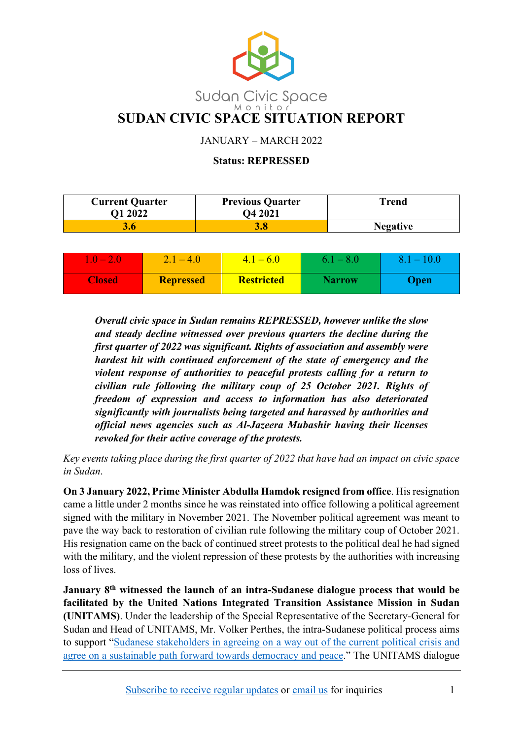

JANUARY – MARCH 2022

#### **Status: REPRESSED**

| <b>Current Quarter</b><br>O1 2022 | <b>Previous Quarter</b><br>O4 2021 | Trend           |
|-----------------------------------|------------------------------------|-----------------|
| 3.6                               |                                    | <b>Negative</b> |

| $\sim$        | $-4.0$           | $-6.0$<br>4. I    | $6.1 - 8.0$   | 10.0<br>$\blacksquare$ |
|---------------|------------------|-------------------|---------------|------------------------|
| <b>Closed</b> | <b>Repressed</b> | <b>Restricted</b> | <b>Narrow</b> | <b>Jpen</b>            |

*Overall civic space in Sudan remains REPRESSED, however unlike the slow and steady decline witnessed over previous quarters the decline during the first quarter of 2022 was significant. Rights of association and assembly were hardest hit with continued enforcement of the state of emergency and the violent response of authorities to peaceful protests calling for a return to civilian rule following the military coup of 25 October 2021. Rights of freedom of expression and access to information has also deteriorated significantly with journalists being targeted and harassed by authorities and official news agencies such as Al-Jazeera Mubashir having their licenses revoked for their active coverage of the protests.*

*Key events taking place during the first quarter of 2022 that have had an impact on civic space in Sudan*.

**On 3 January 2022, Prime Minister Abdulla Hamdok resigned from office**. His resignation came a little under 2 months since he was reinstated into office following a political agreement signed with the military in November 2021. The November political agreement was meant to pave the way back to restoration of civilian rule following the military coup of October 2021. His resignation came on the back of continued street protests to the political deal he had signed with the military, and the violent repression of these protests by the authorities with increasing loss of lives.

**January 8th witnessed the launch of an intra-Sudanese dialogue process that would be facilitated by the United Nations Integrated Transition Assistance Mission in Sudan (UNITAMS)**. Under the leadership of the Special Representative of the Secretary-General for Sudan and Head of UNITAMS, Mr. Volker Perthes, the intra-Sudanese political process aims to support ["Sudanese stakeholders in agreeing on a way out of the current political crisis and](https://unitams.unmissions.org/en/statement-attributable-special-representative-secretary-general-sudan-%E2%80%93-announcement-talks-political)  [agree on a sustainable path forward towards democracy and peace.](https://unitams.unmissions.org/en/statement-attributable-special-representative-secretary-general-sudan-%E2%80%93-announcement-talks-political)" The UNITAMS dialogue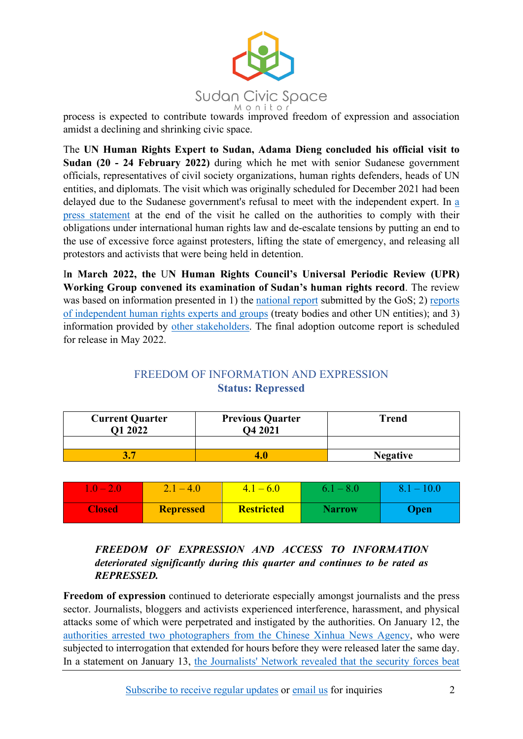

process is expected to contribute towards improved freedom of expression and association amidst a declining and shrinking civic space.

The **UN Human Rights Expert to Sudan, Adama Dieng concluded his official visit to Sudan (20 - 24 February 2022)** during which he met with senior Sudanese government officials, representatives of civil society organizations, human rights defenders, heads of UN entities, and diplomats. The visit which was originally scheduled for December 2021 had been delayed due to the Sudanese government's refusal to meet with the independent expert. In [a](https://sudan.un.org/en/173200-un-human-rights-expert-adama-dieng-concludes-his-official-visit-sudan-20-24-february-2022)  [press statement](https://sudan.un.org/en/173200-un-human-rights-expert-adama-dieng-concludes-his-official-visit-sudan-20-24-february-2022) at the end of the visit he called on the authorities to comply with their obligations under international human rights law and de-escalate tensions by putting an end to the use of excessive force against protesters, lifting the state of emergency, and releasing all protestors and activists that were being held in detention.

I**n March 2022, the** U**N Human Rights Council's Universal Periodic Review (UPR) Working Group convened its examination of Sudan's human rights record**. The review was based on information presented in 1) the [national report](https://www.upr-info.org/sites/default/files/documents/2021-10/a_hrc_wg.6_39_sdn_1_e.pdf) submitted by the GoS; 2) [reports](https://www.upr-info.org/sites/default/files/documents/2021-10/a_hrc_wg.6_39_sdn_2_e.pdf) [of independent human rights experts](https://www.upr-info.org/sites/default/files/documents/2021-10/a_hrc_wg.6_39_sdn_2_e.pdf) and groups (treaty bodies and other UN entities); and 3) information provided by [other stakeholders.](https://www.upr-info.org/sites/default/files/documents/2021-10/a_hrc_wg.6_39_sdn_3_e.pdf) The final adoption outcome report is scheduled for release in May 2022.

## FREEDOM OF INFORMATION AND EXPRESSION **Status: Repressed**

| <b>Current Quarter</b><br><b>Q1 2022</b> | <b>Previous Quarter</b><br>Q4 2021 | <b>Trend</b>    |
|------------------------------------------|------------------------------------|-----------------|
|                                          |                                    |                 |
|                                          |                                    | <b>Negative</b> |

| $\mathbf{I}$  | $2.1 - 4.0$      | $-4.1 - 6.0$      | $6.1 - 8.0$   | $8.1 - 10.0$ |
|---------------|------------------|-------------------|---------------|--------------|
| <b>Closed</b> | <b>Repressed</b> | <b>Restricted</b> | <b>Narrow</b> | <b>Open</b>  |

*FREEDOM OF EXPRESSION AND ACCESS TO INFORMATION deteriorated significantly during this quarter and continues to be rated as REPRESSED.*

**Freedom of expression** continued to deteriorate especially amongst journalists and the press sector. Journalists, bloggers and activists experienced interference, harassment, and physical attacks some of which were perpetrated and instigated by the authorities. On January 12, the [authorities arrested two photographers from](https://shnonews.com/%D8%A7%D9%84%D8%B9%D8%B3%D9%83%D8%B1-%D9%8A%D8%B9%D8%AA%D9%82%D9%84%D9%88%D9%86-%D9%85%D8%B5%D9%88%D8%B1%D9%8A%D9%86-%D9%81%D9%8A-%D9%88%D9%83%D8%A7%D9%84%D8%A9-%D8%B4%D9%8A%D9%86%D8%AE%D9%88%D8%A7/) the Chinese Xinhua News Agency, who were subjected to interrogation that extended for hours before they were released later the same day. In a statement on January 13, [the Journalists' Network revealed that the security forces beat](https://www.altaghyeer.info/ar/2022/01/13/%D8%AA%D8%AC%D8%AF%D8%AF-%D8%A7%D8%B3%D8%AA%D9%87%D8%AF%D8%A7%D9%81-%D8%A7%D9%84%D8%A5%D8%B9%D9%84%D8%A7%D9%85-%D8%A8%D8%A7%D9%84%D8%B3%D9%88%D8%AF%D8%A7%D9%86-%D9%88%D8%B4%D8%A8%D9%83%D8%A9-%D8%A7/)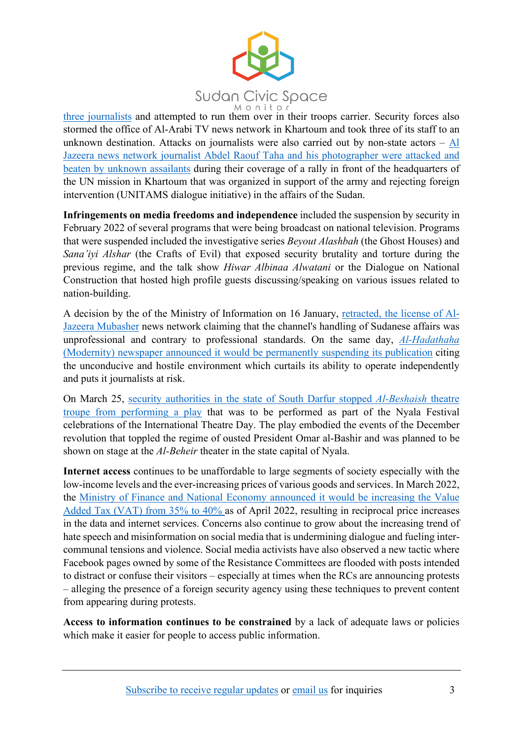

[three journalists](https://www.altaghyeer.info/ar/2022/01/13/%D8%AA%D8%AC%D8%AF%D8%AF-%D8%A7%D8%B3%D8%AA%D9%87%D8%AF%D8%A7%D9%81-%D8%A7%D9%84%D8%A5%D8%B9%D9%84%D8%A7%D9%85-%D8%A8%D8%A7%D9%84%D8%B3%D9%88%D8%AF%D8%A7%D9%86-%D9%88%D8%B4%D8%A8%D9%83%D8%A9-%D8%A7/) and attempted to run them over in their troops carrier. Security forces also stormed the office of Al-Arabi TV news network in Khartoum and took three of its staff to an unknown destination. Attacks on journalists were also carried out by non-state actors – [Al](https://www.alsudaninews.com/ar/?p=146616)  [Jazeera news network journalist Abdel Raouf Taha and his photographer were attacked and](https://www.alsudaninews.com/ar/?p=146616)  [beaten by unknown assailants](https://www.alsudaninews.com/ar/?p=146616) during their coverage of a rally in front of the headquarters of the UN mission in Khartoum that was organized in support of the army and rejecting foreign intervention (UNITAMS dialogue initiative) in the affairs of the Sudan.

**Infringements on media freedoms and independence** included the suspension by security in February 2022 of several programs that were being broadcast on national television. Programs that were suspended included the investigative series *Beyout Alashbah* (the Ghost Houses) and *Sana'iyi Alshar* (the Crafts of Evil) that exposed security brutality and torture during the previous regime, and the talk show *Hiwar Albinaa Alwatani* or the Dialogue on National Construction that hosted high profile guests discussing/speaking on various issues related to nation-building.

A decision by the of the Ministry of Information on 16 January, retracted, the [license of Al-](https://www.aljazeera.net/news/politics/2022/1/16/%D8%A7%D9%84%D8%B3%D9%84%D8%B7%D8%A7%D8%AA-%D8%A7%D9%84%D8%B3%D9%88%D8%AF%D8%A7%D9%86%D9%8A%D8%A9-%D8%AA%D8%B3%D8%AD%D8%A8-%D8%AA%D8%B1%D8%A7%D8%AE%D9%8A%D8%B5)[Jazeera Mubasher](https://www.aljazeera.net/news/politics/2022/1/16/%D8%A7%D9%84%D8%B3%D9%84%D8%B7%D8%A7%D8%AA-%D8%A7%D9%84%D8%B3%D9%88%D8%AF%D8%A7%D9%86%D9%8A%D8%A9-%D8%AA%D8%B3%D8%AD%D8%A8-%D8%AA%D8%B1%D8%A7%D8%AE%D9%8A%D8%B5) news network claiming that the channel's handling of Sudanese affairs was unprofessional and contrary to professional standards. On the same day, *[Al-Hadathaha](https://www.alaraby.co.uk/entertainment_media/%D8%B5%D8%AD%D9%8A%D9%81%D8%A9-%D8%B3%D9%88%D8%AF%D8%A7%D9%86%D9%8A%D8%A9-%D8%AA%D8%AA%D9%88%D9%82%D9%81-%D8%B9%D9%86-%D8%A7%D9%84%D8%B5%D8%AF%D9%88%D8%B1-%D9%86%D9%87%D8%A7%D8%A6%D9%8A%D8%A7%D9%8B-%D8%A7%D8%AD%D8%AA%D8%AC%D8%A7%D8%AC%D8%A7%D9%8B-%D8%B9%D9%84%D9%89-%D8%A7%D9%84%D9%82%D9%85%D8%B9)* [\(Modernity\) newspaper announced it would be permanently suspending](https://www.alaraby.co.uk/entertainment_media/%D8%B5%D8%AD%D9%8A%D9%81%D8%A9-%D8%B3%D9%88%D8%AF%D8%A7%D9%86%D9%8A%D8%A9-%D8%AA%D8%AA%D9%88%D9%82%D9%81-%D8%B9%D9%86-%D8%A7%D9%84%D8%B5%D8%AF%D9%88%D8%B1-%D9%86%D9%87%D8%A7%D8%A6%D9%8A%D8%A7%D9%8B-%D8%A7%D8%AD%D8%AA%D8%AC%D8%A7%D8%AC%D8%A7%D9%8B-%D8%B9%D9%84%D9%89-%D8%A7%D9%84%D9%82%D9%85%D8%B9) its publication citing the unconducive and hostile environment which curtails its ability to operate independently and puts it journalists at risk.

On March 25, [security authorities in the state of South Darfur stopped](https://www.altaghyeer.info/ar/2022/03/25/%D8%B3%D9%84%D8%B7%D8%A7%D8%AA-%D8%A7%D9%84%D8%A7%D9%86%D9%82%D9%84%D8%A7%D8%A8-%D8%AA%D9%88%D9%82%D9%81-%D8%B9%D8%B1%D8%B6-%D9%85%D8%B3%D8%B1%D8%AD%D9%8A%D8%A9-%D8%AA%D8%AC%D8%B3%D8%AF-%D8%A7%D9%84/) *Al-Beshaish* theatre troupe [from performing](https://www.altaghyeer.info/ar/2022/03/25/%D8%B3%D9%84%D8%B7%D8%A7%D8%AA-%D8%A7%D9%84%D8%A7%D9%86%D9%82%D9%84%D8%A7%D8%A8-%D8%AA%D9%88%D9%82%D9%81-%D8%B9%D8%B1%D8%B6-%D9%85%D8%B3%D8%B1%D8%AD%D9%8A%D8%A9-%D8%AA%D8%AC%D8%B3%D8%AF-%D8%A7%D9%84/) a play that was to be performed as part of the Nyala Festival celebrations of the International Theatre Day. The play embodied the events of the December revolution that toppled the regime of ousted President Omar al-Bashir and was planned to be shown on stage at the *Al-Beheir* theater in the state capital of Nyala.

**Internet access** continues to be unaffordable to large segments of society especially with the low-income levels and the ever-increasing prices of various goods and services. In March 2022, the [Ministry of Finance and National Economy announced it would be increasing the Value](https://www.alnilin.com/13245863.htm)  Added Tax [\(VAT\) from 35% to 40% a](https://www.alnilin.com/13245863.htm)s of April 2022, resulting in reciprocal price increases in the data and internet services. Concerns also continue to grow about the increasing trend of hate speech and misinformation on social media that is undermining dialogue and fueling intercommunal tensions and violence. Social media activists have also observed a new tactic where Facebook pages owned by some of the Resistance Committees are flooded with posts intended to distract or confuse their visitors – especially at times when the RCs are announcing protests – alleging the presence of a foreign security agency using these techniques to prevent content from appearing during protests.

**Access to information continues to be constrained** by a lack of adequate laws or policies which make it easier for people to access public information.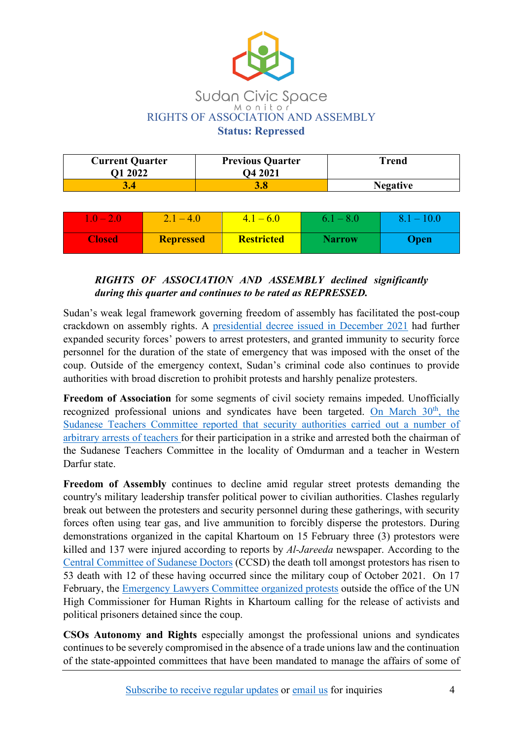

| <b>Current Quarter</b><br><b>O1 2022</b> | <b>Previous Quarter</b><br>O4 2021 | Trend           |
|------------------------------------------|------------------------------------|-----------------|
|                                          |                                    | <b>Negative</b> |

| $1.0 - 2.0$   | $2.1 - 4.0$      | $ 4.1 - 6.0 $     | $6.1 - 8.0$   | $8.1 - 10.0$ |
|---------------|------------------|-------------------|---------------|--------------|
| <b>Closed</b> | <b>Repressed</b> | <b>Restricted</b> | <b>Narrow</b> | Open         |

### *RIGHTS OF ASSOCIATION AND ASSEMBLY declined significantly during this quarter and continues to be rated as REPRESSED.*

Sudan's weak legal framework governing freedom of assembly has facilitated the post-coup crackdown on assembly rights. A [presidential decree issued in December 2021](https://irshadgul.com/al-burhan-grants-the-security-services-the-powers-of-arrest-search-and-seizure-of-funds-sudanile/) had further expanded security forces' powers to arrest protesters, and granted immunity to security force personnel for the duration of the state of emergency that was imposed with the onset of the coup. Outside of the emergency context, Sudan's criminal code also continues to provide authorities with broad discretion to prohibit protests and harshly penalize protesters.

**Freedom of Association** for some segments of civil society remains impeded. Unofficially recognized professional unions and syndicates have been targeted. On March  $30<sup>th</sup>$ , the [Sudanese Teachers Committee reported that security authorities carried out a number of](https://sudanile.com/%D9%84%D8%AC%D9%86%D8%A9-%D8%A7%D9%84%D9%85%D8%B9%D9%84%D9%85%D9%8A%D9%86-%D8%AA%D9%83%D8%B4%D9%81-%D8%B9%D9%86-%D8%AA%D9%86%D9%81%D9%8A%D8%B0-%D8%A7%D9%84%D8%B3%D9%84%D8%B7%D8%A7%D8%AA-%D8%B3%D9%84/)  [arbitrary arrests of teachers f](https://sudanile.com/%D9%84%D8%AC%D9%86%D8%A9-%D8%A7%D9%84%D9%85%D8%B9%D9%84%D9%85%D9%8A%D9%86-%D8%AA%D9%83%D8%B4%D9%81-%D8%B9%D9%86-%D8%AA%D9%86%D9%81%D9%8A%D8%B0-%D8%A7%D9%84%D8%B3%D9%84%D8%B7%D8%A7%D8%AA-%D8%B3%D9%84/)or their participation in a strike and arrested both the chairman of the Sudanese Teachers Committee in the locality of Omdurman and a teacher in Western Darfur state.

**Freedom of Assembly** continues to decline amid regular street protests demanding the country's military leadership transfer political power to civilian authorities. Clashes regularly break out between the protesters and security personnel during these gatherings, with security forces often using tear gas, and live ammunition to forcibly disperse the protestors. During demonstrations organized in the capital Khartoum on 15 February three (3) protestors were killed and 137 were injured according to reports by *Al-Jareeda* newspaper. According to the [Central Committee of Sudanese Doctors](https://www.altaghyeer.info/ar/2022/01/02/%D8%A7%D9%84%D8%B3%D9%88%D8%AF%D8%A7%D9%86-%D9%84%D8%AC%D9%86%D8%A9-%D8%A7%D9%84%D8%A3%D8%B7%D8%A8%D8%A7%D8%A1-%D8%AA%D9%8F%D8%B9%D9%84%D9%86-%D8%A5%D8%B1%D8%AA%D9%82%D8%A7%D8%A1-%D8%B4%D9%87%D9%8A/) (CCSD) the death toll amongst protestors has risen to 53 death with 12 of these having occurred since the military coup of October 2021. On 17 February, the [Emergency Lawyers Committee organized protests](https://www.middleeastmonitor.com/20220217-sudanese-lawyers-call-for-release-of-political-prisoners/) outside the office of the UN High Commissioner for Human Rights in Khartoum calling for the release of activists and political prisoners detained since the coup.

**CSOs Autonomy and Rights** especially amongst the professional unions and syndicates continues to be severely compromised in the absence of a trade unions law and the continuation of the state-appointed committees that have been mandated to manage the affairs of some of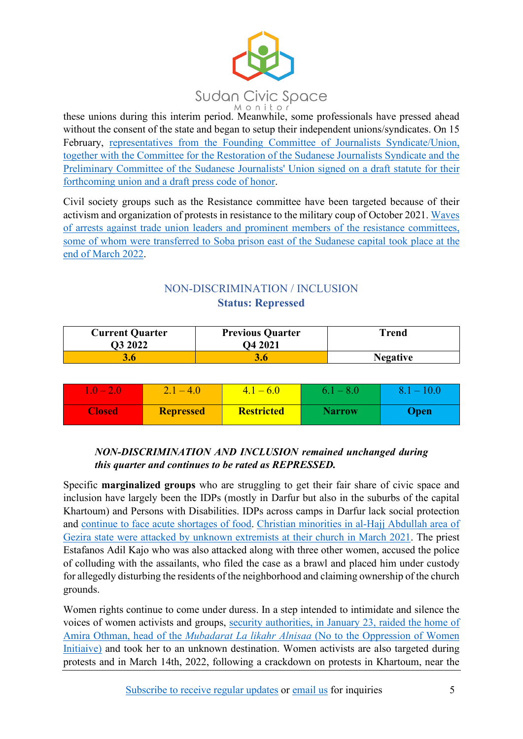

these unions during this interim period. Meanwhile, some professionals have pressed ahead without the consent of the state and began to setup their independent unions/syndicates. On 15 February, [representatives from the Founding Committee of Journalists Syndicate/Union,](https://www.alrakoba.net/31684568/%d8%a7%d9%84%d8%b5%d8%ad%d9%81%d9%8a%d9%88%d9%86-%d8%a7%d9%84%d8%b3%d9%88%d8%af%d8%a7%d9%86%d9%8a%d9%88%d9%86-%d8%ae%d8%b7%d9%88%d8%a9-%d9%86%d8%ad%d9%88-%d8%aa%d8%a3%d8%b3%d9%8a%d8%b3-%d9%86%d9%82/)  [together with the Committee for the Restoration of the Sudanese Journalists Syndicate](https://www.alrakoba.net/31684568/%d8%a7%d9%84%d8%b5%d8%ad%d9%81%d9%8a%d9%88%d9%86-%d8%a7%d9%84%d8%b3%d9%88%d8%af%d8%a7%d9%86%d9%8a%d9%88%d9%86-%d8%ae%d8%b7%d9%88%d8%a9-%d9%86%d8%ad%d9%88-%d8%aa%d8%a3%d8%b3%d9%8a%d8%b3-%d9%86%d9%82/) and the [Preliminary Committee of the Sudanese Journalists' Union signed on a draft statute for their](https://www.alrakoba.net/31684568/%d8%a7%d9%84%d8%b5%d8%ad%d9%81%d9%8a%d9%88%d9%86-%d8%a7%d9%84%d8%b3%d9%88%d8%af%d8%a7%d9%86%d9%8a%d9%88%d9%86-%d8%ae%d8%b7%d9%88%d8%a9-%d9%86%d8%ad%d9%88-%d8%aa%d8%a3%d8%b3%d9%8a%d8%b3-%d9%86%d9%82/)  forthcoming union and a [draft press code of honor.](https://www.alrakoba.net/31684568/%d8%a7%d9%84%d8%b5%d8%ad%d9%81%d9%8a%d9%88%d9%86-%d8%a7%d9%84%d8%b3%d9%88%d8%af%d8%a7%d9%86%d9%8a%d9%88%d9%86-%d8%ae%d8%b7%d9%88%d8%a9-%d9%86%d8%ad%d9%88-%d8%aa%d8%a3%d8%b3%d9%8a%d8%b3-%d9%86%d9%82/)

Civil society groups such as the Resistance committee have been targeted because of their activism and organization of protests in resistance to the military coup of October 2021[. Waves](https://alsudantoday.com/sudan-news/breaking-news/60142)  [of arrests against trade union leaders and prominent](https://alsudantoday.com/sudan-news/breaking-news/60142) members of the resistance committees, [some of whom were transferred to Soba prison east of the Sudanese capital](https://alsudantoday.com/sudan-news/breaking-news/60142) took place at the [end of March 2022.](https://alsudantoday.com/sudan-news/breaking-news/60142)

# NON-DISCRIMINATION / INCLUSION **Status: Repressed**

| <b>Current Quarter</b><br>O3 2022 | <b>Previous Quarter</b><br>O4 2021 | Trend           |
|-----------------------------------|------------------------------------|-----------------|
| 3.6                               |                                    | <b>Negative</b> |

| $1.0 - 2.0$   | $2.1 - 4.0$      | $4.1 - 6.0$       | $6.1 - 8.0$   | $8.1 - 10.0$ |
|---------------|------------------|-------------------|---------------|--------------|
| <b>Closed</b> | <b>Repressed</b> | <b>Restricted</b> | <b>Narrow</b> | <b>Open</b>  |

## *NON-DISCRIMINATION AND INCLUSION remained unchanged during this quarter and continues to be rated as REPRESSED.*

Specific **marginalized groups** who are struggling to get their fair share of civic space and inclusion have largely been the IDPs (mostly in Darfur but also in the suburbs of the capital Khartoum) and Persons with Disabilities. IDPs across camps in Darfur lack social protection and [continue to face acute shortages of food.](https://www.dabangasudan.org/en/all-news/article/darfur-displaced-suffer-from-severe-food-crisis#:%7E:text=In%20an%20interview%20with%20Radio,an%20acute%20shortage%20of%20food.) Christian minorities [in al-Hajj Abdullah area of](https://www.dabangasudan.org/ar/all-news/article/%D8%A7%D8%AA%D9%87%D8%A7%D9%85%D8%A7%D8%AA-%D9%84%D9%85%D8%AA%D8%B4%D8%AF%D8%AF%D9%8A%D9%86-%D8%A8%D8%A7%D9%84%D8%A7%D8%B9%D8%AA%D8%AF%D8%A7%D8%A1-%D8%B9%D9%84%D9%89-%D9%83%D9%86%D9%8A%D8%B3%D8%A9-%D8%A8%D8%A7%D9%84%D8%AD%D8%A7%D8%AC-%D8%B9%D8%A8%D8%AF%D8%A7%D9%84%D9%84%D9%87)  [Gezira state were attacked by unknown extremists at their church in March 2021.](https://www.dabangasudan.org/ar/all-news/article/%D8%A7%D8%AA%D9%87%D8%A7%D9%85%D8%A7%D8%AA-%D9%84%D9%85%D8%AA%D8%B4%D8%AF%D8%AF%D9%8A%D9%86-%D8%A8%D8%A7%D9%84%D8%A7%D8%B9%D8%AA%D8%AF%D8%A7%D8%A1-%D8%B9%D9%84%D9%89-%D9%83%D9%86%D9%8A%D8%B3%D8%A9-%D8%A8%D8%A7%D9%84%D8%AD%D8%A7%D8%AC-%D8%B9%D8%A8%D8%AF%D8%A7%D9%84%D9%84%D9%87) The priest Estafanos Adil Kajo who was also attacked along with three other women, accused the police of colluding with the assailants, who filed the case as a brawl and placed him under custody for allegedly disturbing the residents of the neighborhood and claiming ownership of the church grounds.

Women rights continue to come under duress. In a step intended to intimidate and silence the voices of women activists and groups, [security authorities, in January 23, raided the home of](https://www.altaghyeer.info/en/2022/01/24/un-condemns-arrest-of-no-to-womens-oppression-leader/)  Amira Othman, head of the *Mubadarat La likahr Alnisaa* [\(No to the Oppression of Women](https://www.altaghyeer.info/en/2022/01/24/un-condemns-arrest-of-no-to-womens-oppression-leader/) [Initiaive\)](https://www.altaghyeer.info/en/2022/01/24/un-condemns-arrest-of-no-to-womens-oppression-leader/) and took her to an unknown destination. Women activists are also targeted during protests and in March 14th, 2022, following a crackdown on protests in Khartoum, near the